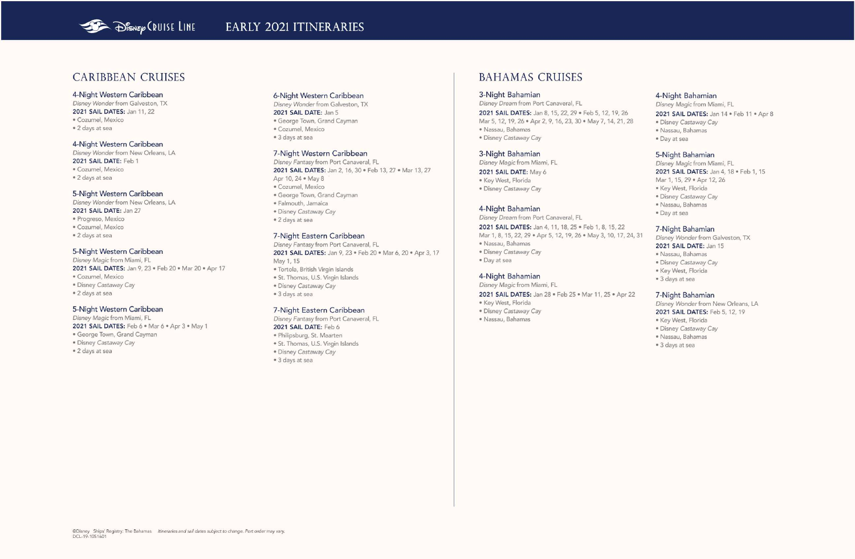# **EARLY 2021 ITINERARIES**

# **CARIBBEAN CRUISES**

### 4-Night Western Caribbean

Disney Wonder from Galveston, TX 2021 SAIL DATES: Jan 11, 22

- · Cozumel, Mexico
- · 2 days at sea

### 4-Night Western Caribbean

Disney Wonder from New Orleans, LA 2021 SAIL DATE: Feb 1

- · Cozumel, Mexico
- . 2 days at sea

# 5-Night Western Caribbean

Disney Wonder from New Orleans, LA 2021 SAIL DATE: Jan 27

- · Progreso, Mexico
- · Cozumel, Mexico
- · 2 days at sea

# 5-Night Western Caribbean

Disney Magic from Miami, FL 2021 SAIL DATES: Jan 9, 23 · Feb 20 · Mar 20 · Apr 17

- · Cozumel, Mexico
- · Disney Castaway Cay
- · 2 days at sea

# 5-Night Western Caribbean

Disney Magic from Miami, FL 2021 SAIL DATES: Feb 6 . Mar 6 . Apr 3 . May 1 · George Town, Grand Cayman

- · Disney Castaway Cay
- 
- · 2 days at sea

# 6-Night Western Caribbean

Disney Wonder from Galveston, TX 2021 SAIL DATE: Jan 5

- · George Town, Grand Cayman
- · Cozumel, Mexico
- · 3 days at sea

#### 7-Night Western Caribbean

Disney Fantasy from Port Canaveral, FL

- 2021 SAIL DATES: Jan 2, 16, 30 · Feb 13, 27 · Mar 13, 27 Apr 10, 24 . May 8
- · Cozumel, Mexico
- · George Town, Grand Cayman
- · Falmouth, Jamaica
- · Disney Castaway Cay
- · 2 days at sea

# 7-Night Eastern Caribbean

Disney Fantasy from Port Canaveral, FL

2021 SAIL DATES: Jan 9, 23 . Feb 20 . Mar 6, 20 . Apr 3, 17 May 1, 15

- · Tortola, British Virgin Islands
- · St. Thomas, U.S. Virgin Islands
- · Disney Castaway Cay
- · 3 days at sea

# 7-Night Eastern Caribbean

Disney Fantasy from Port Canaveral, FL

- 2021 SAIL DATE: Feb 6
- · Philipsburg, St. Maarten
- · St. Thomas, U.S. Virgin Islands
- · Disney Castaway Cay
- · 3 days at sea

# **BAHAMAS CRUISES**

### 3-Night Bahamian

Disney Dream from Port Canaveral, FL

2021 SAIL DATES: Jan 8, 15, 22, 29 · Feb 5, 12, 1 Mar 5, 12, 19, 26 · Apr 2, 9, 16, 23, 30 · May 7, 14,

- · Nassau, Bahamas
- · Disney Castaway Cay

# 3-Night Bahamian

Disney Magic from Miami, FL

2021 SAIL DATE: May 6

- · Key West, Florida
- · Disney Castaway Cay

# 4-Night Bahamian

Disney Dream from Port Canaveral, FL

- 2021 SAIL DATES: Jan 4, 11, 18, 25 · Feb 1, 8, 15, Mar 1, 8, 15, 22, 29 · Apr 5, 12, 19, 26 · May 3, 10,
- · Nassau, Bahamas
- · Disney Castaway Cay
- · Day at sea

# 4-Night Bahamian

Disney Magic from Miami, FL

- 2021 SAIL DATES: Jan 28 · Feb 25 · Mar 11, 25 ·
- · Key West, Florida
- · Disney Castaway Cay
- · Nassau, Bahamas

|            | 4-Night Bahamian<br>Disney Magic from Miami, FL |
|------------|-------------------------------------------------|
| 9,26       | 2021 SAIL DATES: Jan 14 · Feb 11 · Apr 8        |
| 21, 28     | · Disney Castaway Cay                           |
|            | · Nassau, Bahamas                               |
|            | • Day at sea                                    |
|            | 5-Night Bahamian                                |
|            | Disney Magic from Miami, FL                     |
|            | 2021 SAIL DATES: Jan 4, 18 • Feb 1, 15          |
|            | Mar 1, 15, 29 · Apr 12, 26                      |
|            | · Key West, Florida                             |
|            | · Disney Castaway Cay                           |
|            | · Nassau, Bahamas                               |
|            | • Day at sea                                    |
| , 22       | 7-Night Bahamian                                |
| 17, 24, 31 | Disney Wonder from Galveston, TX                |
|            | 2021 SAIL DATE: Jan 15                          |
|            | · Nassau, Bahamas                               |
|            | · Disney Castaway Cay                           |
|            | • Key West, Florida                             |
|            | • 3 days at sea                                 |
| Apr 22     | 7-Night Bahamian                                |
|            | Disney Wonder from New Orleans, LA              |
|            | 2021 SAIL DATES: Feb 5, 12, 19                  |
|            | · Key West, Florida                             |

- · Disney Castaway Cay
- · Nassau, Bahamas
- · 3 days at sea